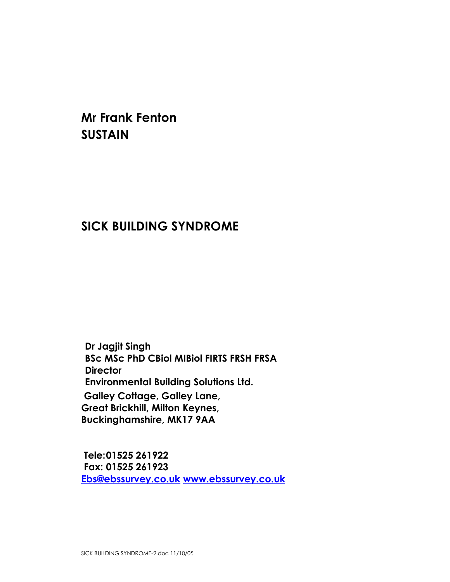Mr Frank Fenton **SUSTAIN** 

## SICK BUILDING SYNDROME

Dr Jagjit Singh BSc MSc PhD CBiol MIBiol FIRTS FRSH FRSA **Director** Environmental Building Solutions Ltd. Galley Cottage, Galley Lane, Great Brickhill, Milton Keynes, Buckinghamshire, MK17 9AA

 Tele: 01525 261922 Fax: 01525 261923 Ebs@ebssurvey.co.uk www.ebssurvey.co.uk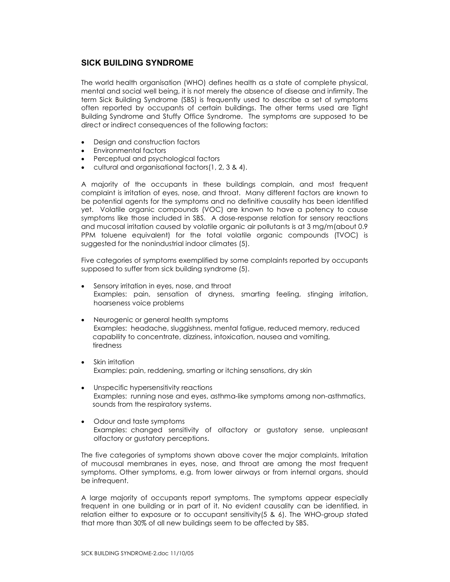## SICK BUILDING SYNDROME

The world health organisation (WHO) defines health as a state of complete physical, mental and social well being, it is not merely the absence of disease and infirmity. The term Sick Building Syndrome (SBS) is frequently used to describe a set of symptoms often reported by occupants of certain buildings. The other terms used are Tight Building Syndrome and Stuffy Office Syndrome. The symptoms are supposed to be direct or indirect consequences of the following factors:

- Design and construction factors
- Environmental factors
- Perceptual and psychological factors
- cultural and organisational factors(1, 2, 3 & 4).

A majority of the occupants in these buildings complain, and most frequent complaint is irritation of eyes, nose, and throat. Many different factors are known to be potential agents for the symptoms and no definitive causality has been identified yet. Volatile organic compounds (VOC) are known to have a potency to cause symptoms like those included in SBS. A dose-response relation for sensory reactions and mucosal irritation caused by volatile organic air pollutants is at 3 mg/m(about 0.9 PPM toluene equivalent) for the total volatile organic compounds (TVOC) is suggested for the nonindustrial indoor climates (5).

Five categories of symptoms exemplified by some complaints reported by occupants supposed to suffer from sick building syndrome (5).

- Sensory irritation in eyes, nose, and throat Examples: pain, sensation of dryness, smarting feeling, stinging irritation, hoarseness voice problems
- Neurogenic or general health symptoms Examples: headache, sluggishness, mental fatigue, reduced memory, reduced capability to concentrate, dizziness, intoxication, nausea and vomiting, tiredness
- Skin irritation Examples: pain, reddening, smarting or itching sensations, dry skin
- Unspecific hypersensitivity reactions Examples: running nose and eyes, asthma-like symptoms among non-asthmatics, sounds from the respiratory systems.
- Odour and taste symptoms Examples: changed sensitivity of olfactory or gustatory sense, unpleasant olfactory or gustatory perceptions.

The five categories of symptoms shown above cover the major complaints. Irritation of mucousal membranes in eyes, nose, and throat are among the most frequent symptoms. Other symptoms, e.g. from lower airways or from internal organs, should be infrequent.

A large majority of occupants report symptoms. The symptoms appear especially frequent in one building or in part of it. No evident causality can be identified, in relation either to exposure or to occupant sensitivity(5 & 6). The WHO-group stated that more than 30% of all new buildings seem to be affected by SBS.